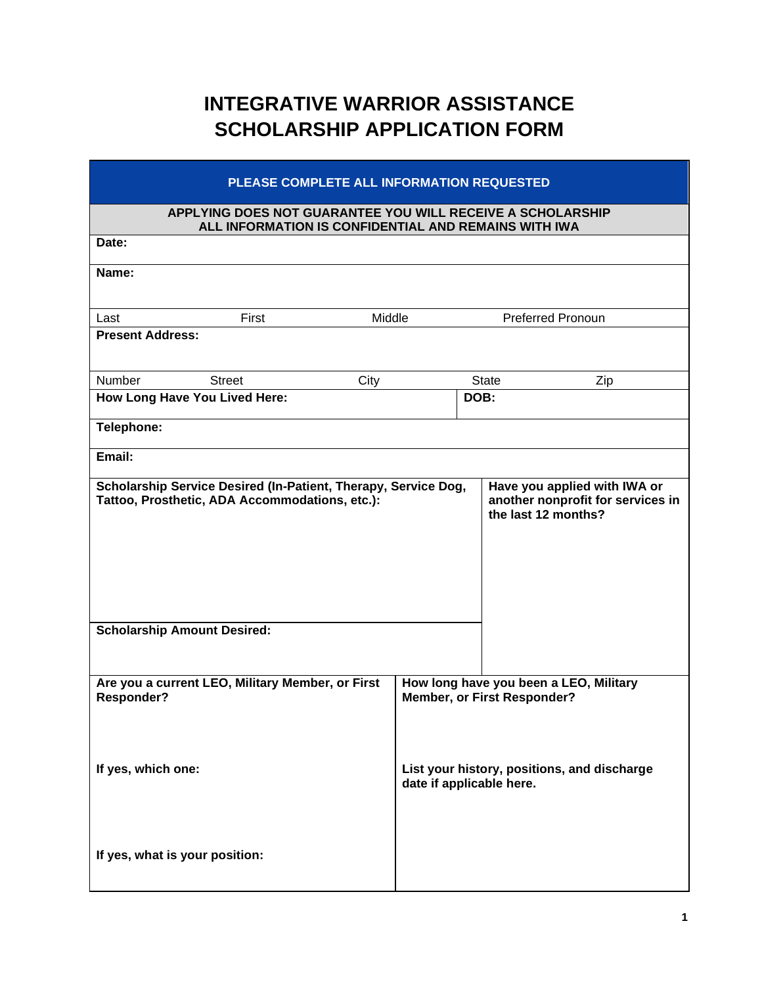## **INTEGRATIVE WARRIOR ASSISTANCE SCHOLARSHIP APPLICATION FORM**

| PLEASE COMPLETE ALL INFORMATION REQUESTED                                                                          |                                                                         |  |  |
|--------------------------------------------------------------------------------------------------------------------|-------------------------------------------------------------------------|--|--|
| APPLYING DOES NOT GUARANTEE YOU WILL RECEIVE A SCHOLARSHIP<br>ALL INFORMATION IS CONFIDENTIAL AND REMAINS WITH IWA |                                                                         |  |  |
| Date:                                                                                                              |                                                                         |  |  |
| Name:                                                                                                              |                                                                         |  |  |
| First<br>Middle<br>Last                                                                                            | <b>Preferred Pronoun</b>                                                |  |  |
| <b>Present Address:</b>                                                                                            |                                                                         |  |  |
| Number<br><b>Street</b><br>City                                                                                    | <b>State</b><br>Zip                                                     |  |  |
| How Long Have You Lived Here:                                                                                      | DOB:                                                                    |  |  |
| Telephone:                                                                                                         |                                                                         |  |  |
| Email:                                                                                                             |                                                                         |  |  |
| Tattoo, Prosthetic, ADA Accommodations, etc.):<br><b>Scholarship Amount Desired:</b>                               | another nonprofit for services in<br>the last 12 months?                |  |  |
| Are you a current LEO, Military Member, or First<br>Responder?                                                     | How long have you been a LEO, Military<br>Member, or First Responder?   |  |  |
| If yes, which one:<br>If yes, what is your position:                                                               | List your history, positions, and discharge<br>date if applicable here. |  |  |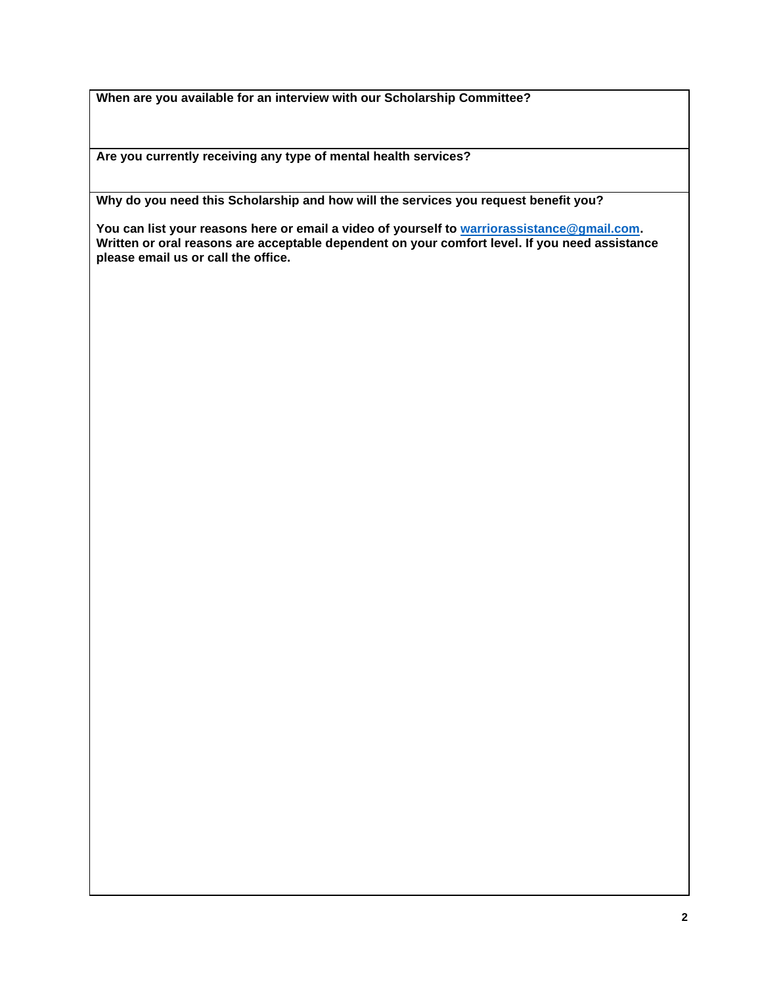**When are you available for an interview with our Scholarship Committee?**

**Are you currently receiving any type of mental health services?**

**Why do you need this Scholarship and how will the services you request benefit you?** 

**You can list your reasons here or email a video of yourself to [warriorassistance@gmail.com.](mailto:warriorassistance@gmail.com) Written or oral reasons are acceptable dependent on your comfort level. If you need assistance please email us or call the office.**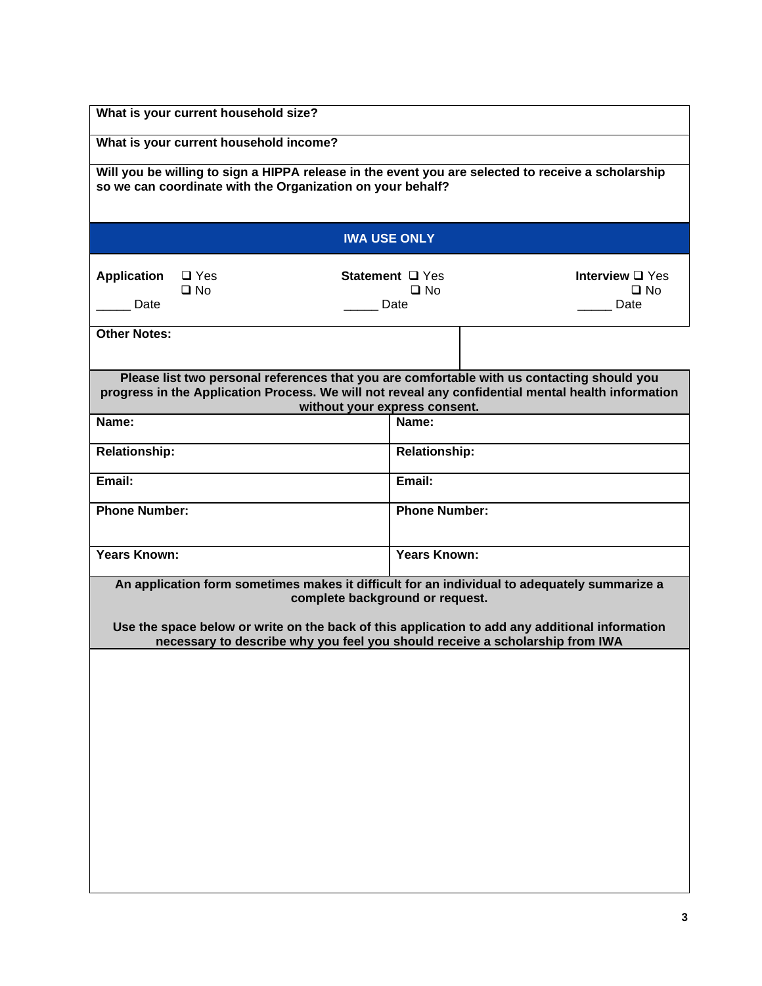| What is your current household size?                                                                                                                                                                                                                                                                              |      |                                 |                                              |  |
|-------------------------------------------------------------------------------------------------------------------------------------------------------------------------------------------------------------------------------------------------------------------------------------------------------------------|------|---------------------------------|----------------------------------------------|--|
| What is your current household income?                                                                                                                                                                                                                                                                            |      |                                 |                                              |  |
| Will you be willing to sign a HIPPA release in the event you are selected to receive a scholarship<br>so we can coordinate with the Organization on your behalf?                                                                                                                                                  |      |                                 |                                              |  |
|                                                                                                                                                                                                                                                                                                                   |      |                                 |                                              |  |
| <b>IWA USE ONLY</b>                                                                                                                                                                                                                                                                                               |      |                                 |                                              |  |
| <b>Application</b><br>$\Box$ Yes<br>$\square$ No<br>Date                                                                                                                                                                                                                                                          | Date | Statement □ Yes<br>$\square$ No | Interview $\Box$ Yes<br>$\square$ No<br>Date |  |
| <b>Other Notes:</b>                                                                                                                                                                                                                                                                                               |      |                                 |                                              |  |
| Please list two personal references that you are comfortable with us contacting should you<br>progress in the Application Process. We will not reveal any confidential mental health information<br>without your express consent.                                                                                 |      |                                 |                                              |  |
| Name:                                                                                                                                                                                                                                                                                                             |      | Name:                           |                                              |  |
| <b>Relationship:</b>                                                                                                                                                                                                                                                                                              |      | <b>Relationship:</b>            |                                              |  |
| Email:                                                                                                                                                                                                                                                                                                            |      | Email:                          |                                              |  |
| <b>Phone Number:</b>                                                                                                                                                                                                                                                                                              |      | <b>Phone Number:</b>            |                                              |  |
| Years Known:                                                                                                                                                                                                                                                                                                      |      | <b>Years Known:</b>             |                                              |  |
| An application form sometimes makes it difficult for an individual to adequately summarize a<br>complete background or request.<br>Use the space below or write on the back of this application to add any additional information<br>necessary to describe why you feel you should receive a scholarship from IWA |      |                                 |                                              |  |
|                                                                                                                                                                                                                                                                                                                   |      |                                 |                                              |  |
|                                                                                                                                                                                                                                                                                                                   |      |                                 |                                              |  |
|                                                                                                                                                                                                                                                                                                                   |      |                                 |                                              |  |
|                                                                                                                                                                                                                                                                                                                   |      |                                 |                                              |  |
|                                                                                                                                                                                                                                                                                                                   |      |                                 |                                              |  |
|                                                                                                                                                                                                                                                                                                                   |      |                                 |                                              |  |